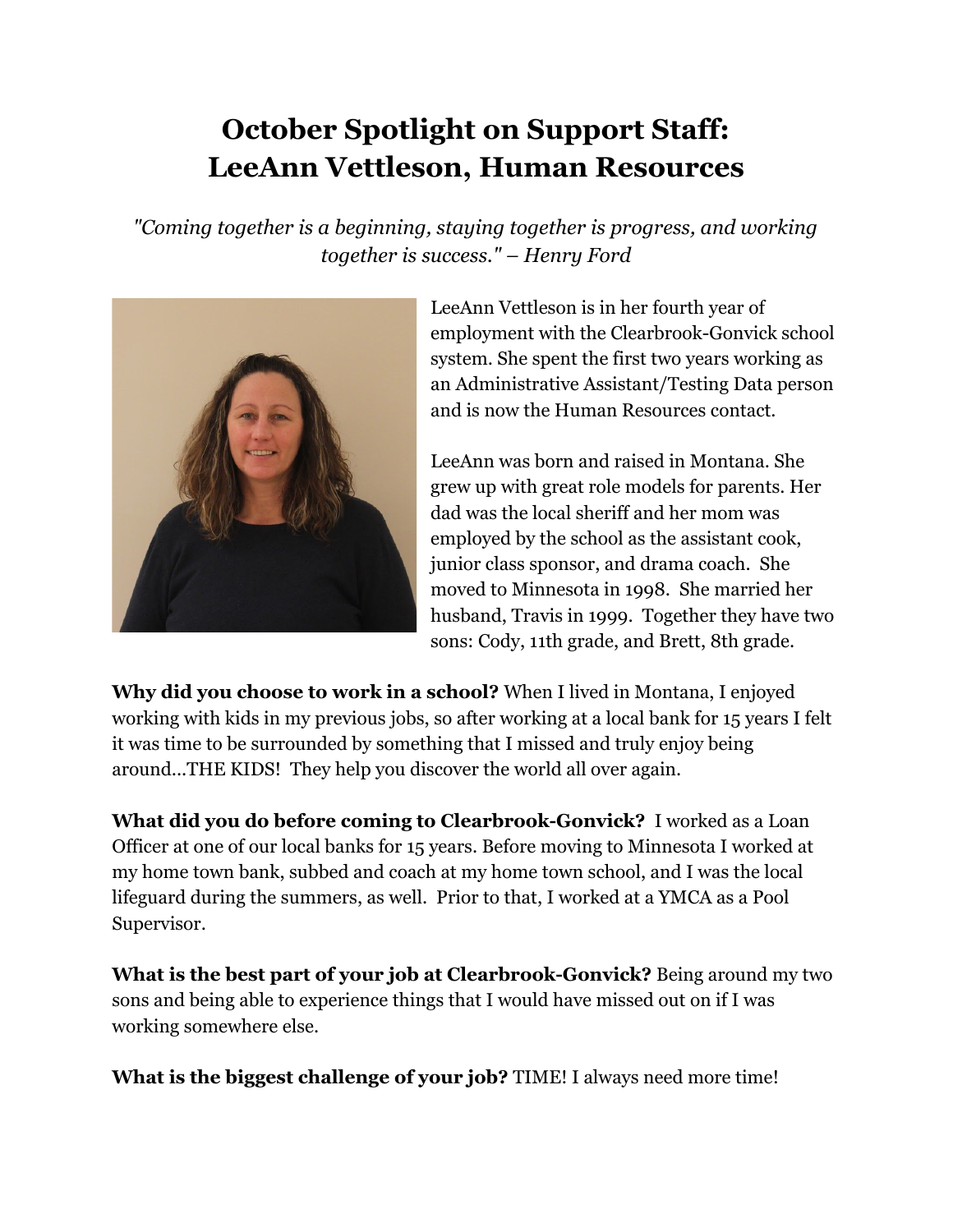## **October Spotlight on Support Staff: LeeAnn Vettleson, Human Resources**

*"Coming together is a beginning, staying together is progress, and working together is success." – Henry Ford*



LeeAnn Vettleson is in her fourth year of employment with the Clearbrook-Gonvick school system. She spent the first two years working as an Administrative Assistant/Testing Data person and is now the Human Resources contact.

LeeAnn was born and raised in Montana. She grew up with great role models for parents. Her dad was the local sheriff and her mom was employed by the school as the assistant cook, junior class sponsor, and drama coach. She moved to Minnesota in 1998. She married her husband, Travis in 1999. Together they have two sons: Cody, 11th grade, and Brett, 8th grade.

**Why did you choose to work in a school?** When I lived in Montana, I enjoyed working with kids in my previous jobs, so after working at a local bank for 15 years I felt it was time to be surrounded by something that I missed and truly enjoy being around...THE KIDS! They help you discover the world all over again.

**What did you do before coming to Clearbrook-Gonvick?** I worked as a Loan Officer at one of our local banks for 15 years. Before moving to Minnesota I worked at my home town bank, subbed and coach at my home town school, and I was the local lifeguard during the summers, as well. Prior to that, I worked at a YMCA as a Pool Supervisor.

**What is the best part of your job at Clearbrook-Gonvick?** Being around my two sons and being able to experience things that I would have missed out on if I was working somewhere else.

**What is the biggest challenge of your job?** TIME! I always need more time!